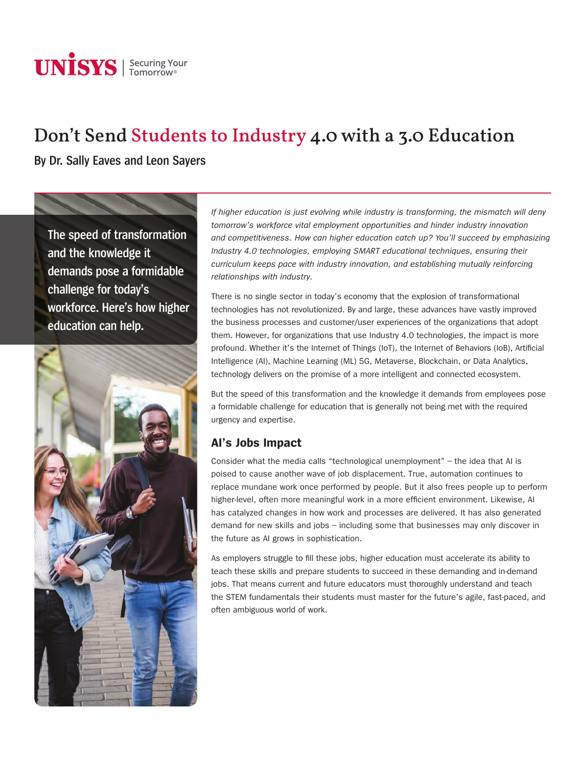# **UNISYS** | Securing Your

# Don't Send Students to Industry 4.0 with a 3.0 Education

**By Dr. Sally Eaves and Leon Sayers**

**The speed of transformation and the knowledge it demands pose a formidable challenge for today's workforce. Here's how higher education can help.**



*If higher education is just evolving while industry is transforming, the mismatch will deny tomorrow's workforce vital employment opportunities and hinder industry innovation and competitiveness. How can higher education catch up? You'll succeed by emphasizing Industry 4.0 technologies, employing SMART educational techniques, ensuring their curriculum keeps pace with industry innovation, and establishing mutually reinforcing relationships with industry.*

There is no single sector in today's economy that the explosion of transformational technologies has not revolutionized. By and large, these advances have vastly improved the business processes and customer/user experiences of the organizations that adopt them. However, for organizations that use Industry 4.0 technologies, the impact is more profound. Whether it's the Internet of Things (IoT), the Internet of Behaviors (IoB), Artificial Intelligence (AI), Machine Learning (ML) 5G, Metaverse, Blockchain, or Data Analytics, technology delivers on the promise of a more intelligent and connected ecosystem.

But the speed of this transformation and the knowledge it demands from employees pose a formidable challenge for education that is generally not being met with the required urgency and expertise.

# **AI's Jobs Impact**

Consider what the media calls "technological unemployment" – the idea that AI is poised to cause another wave of job displacement. True, automation continues to replace mundane work once performed by people. But it also frees people up to perform higher-level, often more meaningful work in a more efficient environment. Likewise, AI has catalyzed changes in how work and processes are delivered. It has also generated demand for new skills and jobs – including some that businesses may only discover in the future as AI grows in sophistication.

As employers struggle to fill these jobs, higher education must accelerate its ability to teach these skills and prepare students to succeed in these demanding and in-demand jobs. That means current and future educators must thoroughly understand and teach the STEM fundamentals their students must master for the future's agile, fast-paced, and often ambiguous world of work.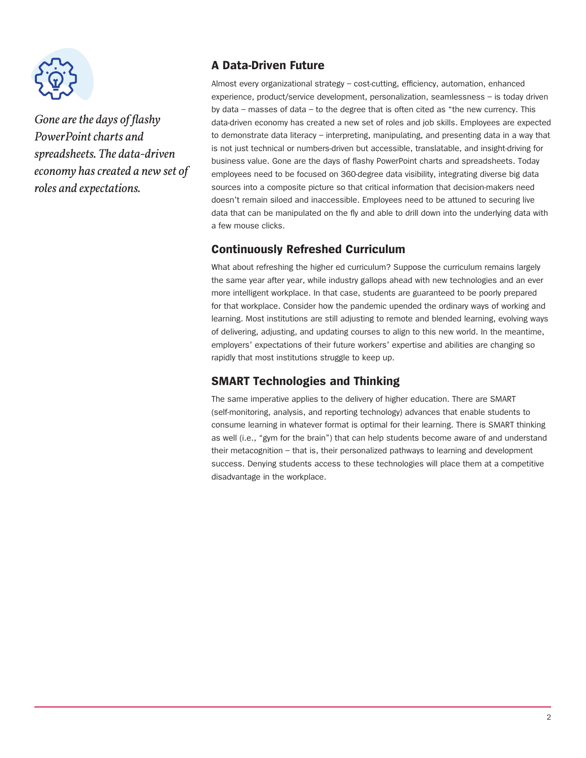

*Gone are the days of flashy PowerPoint charts and spreadsheets. The data-driven economy has created a new set of roles and expectations.*

## **A Data-Driven Future**

Almost every organizational strategy – cost-cutting, efficiency, automation, enhanced experience, product/service development, personalization, seamlessness – is today driven by data – masses of data – to the degree that is often cited as "the new currency. This data-driven economy has created a new set of roles and job skills. Employees are expected to demonstrate data literacy – interpreting, manipulating, and presenting data in a way that is not just technical or numbers-driven but accessible, translatable, and insight-driving for business value. Gone are the days of flashy PowerPoint charts and spreadsheets. Today employees need to be focused on 360-degree data visibility, integrating diverse big data sources into a composite picture so that critical information that decision-makers need doesn't remain siloed and inaccessible. Employees need to be attuned to securing live data that can be manipulated on the fly and able to drill down into the underlying data with a few mouse clicks.

#### **Continuously Refreshed Curriculum**

What about refreshing the higher ed curriculum? Suppose the curriculum remains largely the same year after year, while industry gallops ahead with new technologies and an ever more intelligent workplace. In that case, students are guaranteed to be poorly prepared for that workplace. Consider how the pandemic upended the ordinary ways of working and learning. Most institutions are still adjusting to remote and blended learning, evolving ways of delivering, adjusting, and updating courses to align to this new world. In the meantime, employers' expectations of their future workers' expertise and abilities are changing so rapidly that most institutions struggle to keep up.

### **SMART Technologies and Thinking**

The same imperative applies to the delivery of higher education. There are SMART (self-monitoring, analysis, and reporting technology) advances that enable students to consume learning in whatever format is optimal for their learning. There is SMART thinking as well (i.e., "gym for the brain") that can help students become aware of and understand their metacognition – that is, their personalized pathways to learning and development success. Denying students access to these technologies will place them at a competitive disadvantage in the workplace.